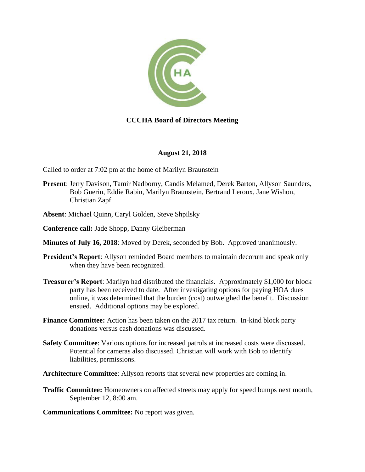

## **CCCHA Board of Directors Meeting**

## **August 21, 2018**

Called to order at 7:02 pm at the home of Marilyn Braunstein

- **Present**: Jerry Davison, Tamir Nadborny, Candis Melamed, Derek Barton, Allyson Saunders, Bob Guerin, Eddie Rabin, Marilyn Braunstein, Bertrand Leroux, Jane Wishon, Christian Zapf.
- **Absent**: Michael Quinn, Caryl Golden, Steve Shpilsky
- **Conference call:** Jade Shopp, Danny Gleiberman
- **Minutes of July 16, 2018**: Moved by Derek, seconded by Bob. Approved unanimously.
- **President's Report:** Allyson reminded Board members to maintain decorum and speak only when they have been recognized.
- **Treasurer's Report**: Marilyn had distributed the financials. Approximately \$1,000 for block party has been received to date. After investigating options for paying HOA dues online, it was determined that the burden (cost) outweighed the benefit. Discussion ensued. Additional options may be explored.
- **Finance Committee:** Action has been taken on the 2017 tax return. In-kind block party donations versus cash donations was discussed.
- **Safety Committee**: Various options for increased patrols at increased costs were discussed. Potential for cameras also discussed. Christian will work with Bob to identify liabilities, permissions.
- **Architecture Committee**: Allyson reports that several new properties are coming in.
- **Traffic Committee:** Homeowners on affected streets may apply for speed bumps next month, September 12, 8:00 am.
- **Communications Committee:** No report was given.